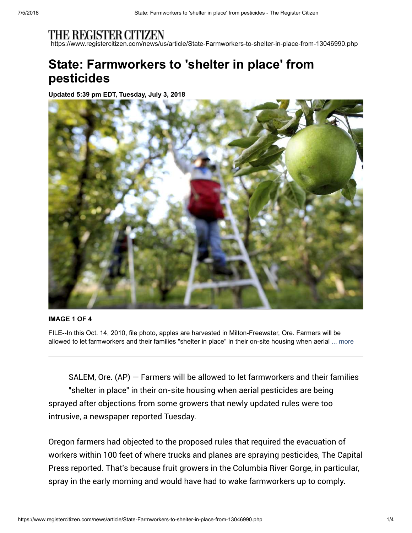https://www.registercitizen.com/news/us/article/State-Farmworkers-to-shelter-in-place-from-13046990.php

# **State: Farmworkers to 'shelter in place' from pesticides**

**Updated 5:39 pm EDT, Tuesday, July 3, 2018**



#### **IMAGE 1 OF 4**

FILE--In this Oct. 14, 2010, file photo, apples are harvested in Milton-Freewater, Ore. Farmers will be allowed to let farmworkers and their families "shelter in place" in their on-site housing when aerial ... more

SALEM, Ore.  $(AP)$  – Farmers will be allowed to let farmworkers and their families "shelter in place" in their on-site housing when aerial pesticides are being sprayed after objections from some growers that newly updated rules were too intrusive, a newspaper reported Tuesday.

Oregon farmers had objected to the proposed rules that required the evacuation of workers within 100 feet of where trucks and planes are spraying pesticides, The Capital Press reported. That's because fruit growers in the Columbia River Gorge, in particular, spray in the early morning and would have had to wake farmworkers up to comply.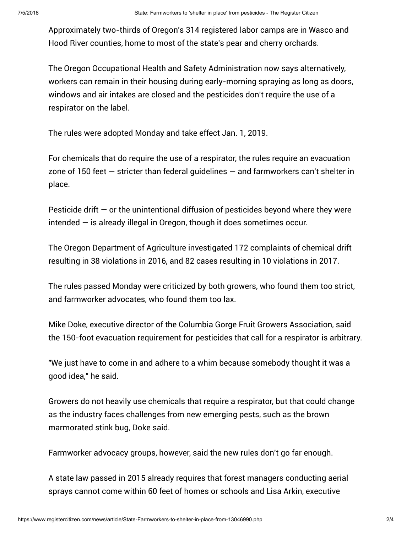Approximately two-thirds of Oregon's 314 registered labor camps are in Wasco and Hood River counties, home to most of the state's pear and cherry orchards.

The Oregon Occupational Health and Safety Administration now says alternatively, workers can remain in their housing during early-morning spraying as long as doors, windows and air intakes are closed and the pesticides don't require the use of a respirator on the label.

The rules were adopted Monday and take effect Jan. 1, 2019.

For chemicals that do require the use of a respirator, the rules require an evacuation zone of 150 feet  $-$  stricter than federal quidelines  $-$  and farmworkers can't shelter in place.

Pesticide drift  $-$  or the unintentional diffusion of pesticides beyond where they were intended — is already illegal in Oregon, though it does sometimes occur.

The Oregon Department of Agriculture investigated 172 complaints of chemical drift resulting in 38 violations in 2016, and 82 cases resulting in 10 violations in 2017.

The rules passed Monday were criticized by both growers, who found them too strict, and farmworker advocates, who found them too lax.

Mike Doke, executive director of the Columbia Gorge Fruit Growers Association, said the 150-foot evacuation requirement for pesticides that call for a respirator is arbitrary.

"We just have to come in and adhere to a whim because somebody thought it was a good idea," he said.

Growers do not heavily use chemicals that require a respirator, but that could change as the industry faces challenges from new emerging pests, such as the brown marmorated stink bug, Doke said.

Farmworker advocacy groups, however, said the new rules don't go far enough.

A state law passed in 2015 already requires that forest managers conducting aerial sprays cannot come within 60 feet of homes or schools and Lisa Arkin, executive